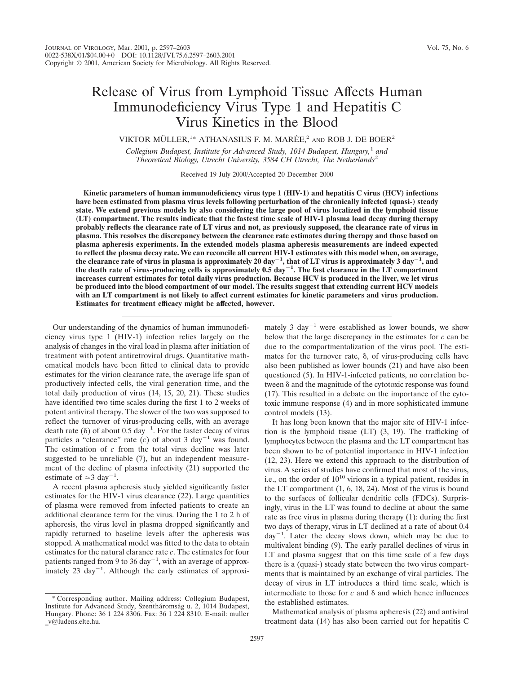# Release of Virus from Lymphoid Tissue Affects Human Immunodeficiency Virus Type 1 and Hepatitis C Virus Kinetics in the Blood

VIKTOR MÜLLER,<sup>1\*</sup> ATHANASIUS F. M. MARÉE,<sup>2</sup> and ROB J. DE BOER<sup>2</sup>

*Collegium Budapest, Institute for Advanced Study, 1014 Budapest, Hungary,*<sup>1</sup> *and Theoretical Biology, Utrecht University, 3584 CH Utrecht, The Netherlands*<sup>2</sup>

Received 19 July 2000/Accepted 20 December 2000

**Kinetic parameters of human immunodeficiency virus type 1 (HIV-1) and hepatitis C virus (HCV) infections have been estimated from plasma virus levels following perturbation of the chronically infected (quasi-) steady state. We extend previous models by also considering the large pool of virus localized in the lymphoid tissue (LT) compartment. The results indicate that the fastest time scale of HIV-1 plasma load decay during therapy probably reflects the clearance rate of LT virus and not, as previously supposed, the clearance rate of virus in plasma. This resolves the discrepancy between the clearance rate estimates during therapy and those based on plasma apheresis experiments. In the extended models plasma apheresis measurements are indeed expected to reflect the plasma decay rate. We can reconcile all current HIV-1 estimates with this model when, on average,** the clearance rate of virus in plasma is approximately 20 day<sup>-1</sup>, that of LT virus is approximately  $\hat{\mathbf{3}}$  day<sup>-1</sup>, and the death rate of virus-producing cells is approximately  $0.5 \text{ day}^{-1}$ . The fast clearance in the LT compartment **increases current estimates for total daily virus production. Because HCV is produced in the liver, we let virus be produced into the blood compartment of our model. The results suggest that extending current HCV models with an LT compartment is not likely to affect current estimates for kinetic parameters and virus production. Estimates for treatment efficacy might be affected, however.**

Our understanding of the dynamics of human immunodeficiency virus type 1 (HIV-1) infection relies largely on the analysis of changes in the viral load in plasma after initiation of treatment with potent antiretroviral drugs. Quantitative mathematical models have been fitted to clinical data to provide estimates for the virion clearance rate, the average life span of productively infected cells, the viral generation time, and the total daily production of virus (14, 15, 20, 21). These studies have identified two time scales during the first 1 to 2 weeks of potent antiviral therapy. The slower of the two was supposed to reflect the turnover of virus-producing cells, with an average death rate ( $\delta$ ) of about 0.5 day<sup>-1</sup>. For the faster decay of virus particles a "clearance" rate  $(c)$  of about 3 day<sup>-1</sup> was found. The estimation of *c* from the total virus decline was later suggested to be unreliable (7), but an independent measurement of the decline of plasma infectivity (21) supported the estimate of  $\simeq$  3 day<sup>-1</sup>.

A recent plasma apheresis study yielded significantly faster estimates for the HIV-1 virus clearance (22). Large quantities of plasma were removed from infected patients to create an additional clearance term for the virus. During the 1 to 2 h of apheresis, the virus level in plasma dropped significantly and rapidly returned to baseline levels after the apheresis was stopped. A mathematical model was fitted to the data to obtain estimates for the natural clarance rate *c*. The estimates for four patients ranged from 9 to 36 day<sup> $-1$ </sup>, with an average of approximately  $23 \text{ day}^{-1}$ . Although the early estimates of approximately 3  $\text{day}^{-1}$  were established as lower bounds, we show below that the large discrepancy in the estimates for *c* can be due to the compartmentalization of the virus pool. The estimates for the turnover rate,  $\delta$ , of virus-producing cells have also been published as lower bounds (21) and have also been questioned (5). In HIV-1-infected patients, no correlation between  $\delta$  and the magnitude of the cytotoxic response was found (17). This resulted in a debate on the importance of the cytotoxic immune response (4) and in more sophisticated immune control models (13).

It has long been known that the major site of HIV-1 infection is the lymphoid tissue (LT) (3, 19). The trafficking of lymphocytes between the plasma and the LT compartment has been shown to be of potential importance in HIV-1 infection (12, 23). Here we extend this approach to the distribution of virus. A series of studies have confirmed that most of the virus, i.e., on the order of  $10^{10}$  virions in a typical patient, resides in the LT compartment (1, 6, 18, 24). Most of the virus is bound to the surfaces of follicular dendritic cells (FDCs). Surprisingly, virus in the LT was found to decline at about the same rate as free virus in plasma during therapy (1): during the first two days of therapy, virus in LT declined at a rate of about 0.4  $day^{-1}$ . Later the decay slows down, which may be due to multivalent binding (9). The early parallel declines of virus in LT and plasma suggest that on this time scale of a few days there is a (quasi-) steady state between the two virus compartments that is maintained by an exchange of viral particles. The decay of virus in LT introduces a third time scale, which is intermediate to those for  $c$  and  $\delta$  and which hence influences the established estimates.

Mathematical analysis of plasma apheresis (22) and antiviral treatment data (14) has also been carried out for hepatitis C

<sup>\*</sup> Corresponding author. Mailing address: Collegium Budapest, Institute for Advanced Study, Szentháromság u. 2, 1014 Budapest, Hungary. Phone: 36 1 224 8306. Fax: 36 1 224 8310. E-mail: muller \_v@ludens.elte.hu.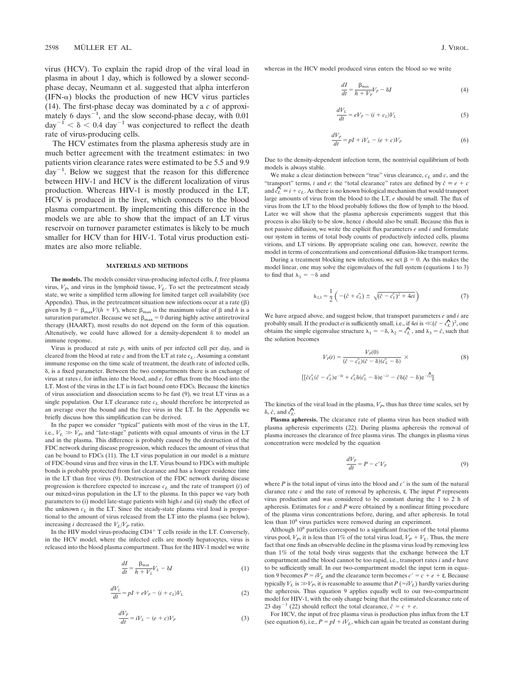virus (HCV). To explain the rapid drop of the viral load in plasma in about 1 day, which is followed by a slower secondphase decay, Neumann et al. suggested that alpha interferon  $(IFN-\alpha)$  blocks the production of new HCV virus particles (14). The first-phase decay was dominated by a *c* of approximately 6 days<sup> $-1$ </sup>, and the slow second-phase decay, with 0.01  $day^{-1} < \delta < 0.4$  day<sup>-1</sup> was conjectured to reflect the death rate of virus-producing cells.

The HCV estimates from the plasma apheresis study are in much better agreement with the treatment estimates: in two patients virion clearance rates were estimated to be 5.5 and 9.9  $day^{-1}$ . Below we suggest that the reason for this difference between HIV-1 and HCV is the different localization of virus production. Whereas HIV-1 is mostly produced in the LT, HCV is produced in the liver, which connects to the blood plasma compartment. By implementing this difference in the models we are able to show that the impact of an LT virus reservoir on turnover parameter estimates is likely to be much smaller for HCV than for HIV-1. Total virus production estimates are also more reliable.

#### **MATERIALS AND METHODS**

**The models.** The models consider virus-producing infected cells, *I*, free plasma virus,  $V_P$ , and virus in the lymphoid tissue,  $V_L$ . To set the pretreatment steady state, we write a simplified term allowing for limited target cell availability (see Appendix). Thus, in the pretreatment situation new infections occur at a rate  $(\beta)$ given by  $\beta = \beta_{\text{max}}V/(h + V)$ , where  $\beta_{\text{max}}$  is the maximum value of  $\beta$  and *h* is a saturation parameter. Because we set  $\beta_{\rm max}=0$  during highly active antiretroviral therapy (HAART), most results do not depend on the form of this equation. Altenatively, we could have allowed for a density-dependent  $\delta$  to model an immune response.

Virus is produced at rate *p*, with units of per infected cell per day, and is cleared from the blood at rate *c* and from the LT at rate *cL*. Assuming a constant immune response on the time scale of treatment, the death rate of infected cells,  $\delta$ , is a fixed parameter. Between the two compartments there is an exchange of virus at rates *i*, for influx into the blood, and *e*, for efflux from the blood into the LT. Most of the virus in the LT is in fact bound onto FDCs. Because the kinetics of virus association and dissociation seems to be fast (9), we treat LT virus as a single population. Our LT clearance rate  $c<sub>L</sub>$  should therefore be interpreted as an average over the bound and the free virus in the LT. In the Appendix we briefly discuss how this simplification can be derived.

In the paper we consider "typical" patients with most of the virus in the LT, i.e.,  $V_L \gg V_P$ , and "late-stage" patients with equal amounts of virus in the LT and in the plasma. This difference is probably caused by the destruction of the FDC network during disease progression, which reduces the amount of virus that can be bound to FDCs (11). The LT virus population in our model is a mixture of FDC-bound virus and free virus in the LT. Virus bound to FDCs with multiple bonds is probably protected from fast clearance and has a longer residence time in the LT than free virus (9). Destruction of the FDC network during disease progression is therefore expected to increase  $c<sub>L</sub>$  and the rate of transport (*i*) of our mixed-virus population in the LT to the plasma. In this paper we vary both parameters to (i) model late-stage patients with high *i* and (ii) study the effect of the unknown  $c_l$  in the LT. Since the steady-state plasma viral load is proportional to the amount of virus released from the LT into the plasma (see below), increasing *i* decreased the  $V_L/V_P$  ratio.

In the HIV model virus-producing CD4<sup>+</sup> T cells reside in the LT. Conversely, in the HCV model, where the infected cells are mostly hepatocytes, virus is released into the blood plasma compartment. Thus for the HIV-1 model we write

$$
\frac{dI}{dt} = \frac{\beta_{\text{max}}}{h + V_L} V_L - \delta I \tag{1}
$$

$$
\frac{dV_L}{dt} = pI + eV_P - (i + c_L)V_L
$$
\n(2)

$$
\frac{dV_P}{dt} = iV_L - (e + c)V_P \tag{3}
$$

whereas in the HCV model produced virus enters the blood so we write

$$
\frac{dI}{dt} = \frac{\beta_{\text{max}}}{h + V_P} V_P - \delta I \tag{4}
$$

$$
\frac{dV_L}{dt} = eV_P - (i + c_L)V_L \tag{5}
$$

$$
\frac{dV_P}{dt} = pI + iV_L - (e+c)V_P \tag{6}
$$

Due to the density-dependent infection term, the nontrivial equilibrium of both models is always stable.

We make a clear distinction between "true" virus clearance,  $c_L$  and  $c$ , and the "transport" terms, *i* and *e*: the "total clearance" rates are defined by  $\hat{c} \equiv e + c$ transport terms, *t* and *e*: the total clearance rates are defined by  $c = e + c$ <br>and  $c<sub>L</sub><sup>2</sup> ≡ i + c<sub>L</sub>$ . As there is no known biological mechanism that would transport large amounts of virus from the blood to the LT, *e* should be small. The flux of virus from the LT to the blood probably follows the flow of lymph to the blood. Later we will show that the plasma apheresis experiments suggest that this process is also likely to be slow, hence *i* should also be small. Because this flux is not passive diffusion, we write the explicit flux parameters *e* and *i* and formulate our system in terms of total body counts of productively infected cells, plasma virions, and LT virions. By appropriate scaling one can, however, rewrite the model in terms of concentrations and conventional diffusion-like transport terms.

During a treatment blocking new infections, we set  $\beta = 0$ . As this makes the model linear, one may solve the eigenvalues of the full system (equations 1 to 3) to find that  $\lambda_1 = -\delta$  and

$$
\lambda_{2,3} = \frac{1}{2} \left( -(\hat{c} + \hat{c}_L) \pm \sqrt{(\hat{c} - \hat{c}_L)^2 + 4ei} \right) \tag{7}
$$

We have argued above, and suggest below, that transport parameters *e* and *i* are we have argued above, and suggest below, that transport parameters *e* and *t* are probably small. If the product *ei* is sufficiently small, i.e., if  $4ei$  is  $\ll (\hat{c} - \hat{c}_L)^2$ , one probably small. It the product *et* is sufficiently small, i.e., if  $4e\textit{i}$  is  $\ll (c - c_L)$ , one obtains the simple eigenvalue structure  $\lambda_1 = -\delta$ ,  $\lambda_2 = \hat{c}_L$ , and  $\lambda_3 = \hat{c}$ , such that the solution becomes

$$
V_P(t) = \frac{V_P(0)}{(\hat{c} - \hat{c}_L)(\hat{c} - \delta)(\hat{c}_L - \delta)} \times
$$
 (8)

$$
[[\hat{c}\hat{c_L}(\hat{c}-\hat{c_L})e^{-\delta t}+\hat{c_L}\delta(\hat{c_L}-\delta)e^{-\hat{c}t}-\hat{c}\delta(\hat{c}-\delta)e^{-\hat{c_L}t}]
$$

The kinetics of the viral load in the plasma,  $V_p$ , thus has three time scales, set by The kinetics  $\delta$ ,  $\hat{c}$ , and  $\hat{c}_L$ .

**Plasma apheresis.** The clearance rate of plasma virus has been studied with plasma apheresis experiments (22). During plasma apheresis the removal of plasma increases the clearance of free plasma virus. The changes in plasma virus concentration were modeled by the equation

$$
\frac{dV_P}{dt} = P - c'V_P \tag{9}
$$

where  $P$  is the total input of virus into the blood and  $c<sup>9</sup>$  is the sum of the natural clarance rate *c* and the rate of removal by apheresis, ε. The input *P* represents virus production and was considered to be constant during the 1 to 2 h of apheresis. Estimates for *c* and *P* were obtained by a nonlinear fitting procedure of the plasma virus concentrations before, during, and after apheresis. In total less than 10<sup>8</sup> virus particles were removed during an experiment.

Although 10<sup>8</sup> particles correspond to a significant fraction of the total plasma virus pool,  $V_p$ , it is less than 1% of the total virus load,  $V_p + V_l$ . Thus, the mere fact that one finds an observable decline in the plasma virus load by removing less than 1% of the total body virus suggests that the exchange between the LT compartment and the blood cannot be too rapid, i.e., transport rates *i* and *e* have to be sufficiently small. In our two-compartment model the input term in equation 9 becomes  $P = iV_L$  and the clearance term becomes  $c' = c + e + \varepsilon$ . Because typically  $V_L$  is  $\gg V_P$ , it is reasonable to assume that  $P(-iV_L)$  hardly varies during the apheresis. Thus equation 9 applies equally well to our two-compartment model for HIV-1, with the only change being that the estimated clearance rate of 23 day<sup> $-1$ </sup> (22) should reflect the total clearance,  $\hat{c} = c + e$ .

For HCV, the input of free plasma virus is production plus influx from the LT (see equation 6), i.e.,  $P = pI + iV_L$ , which can again be treated as constant during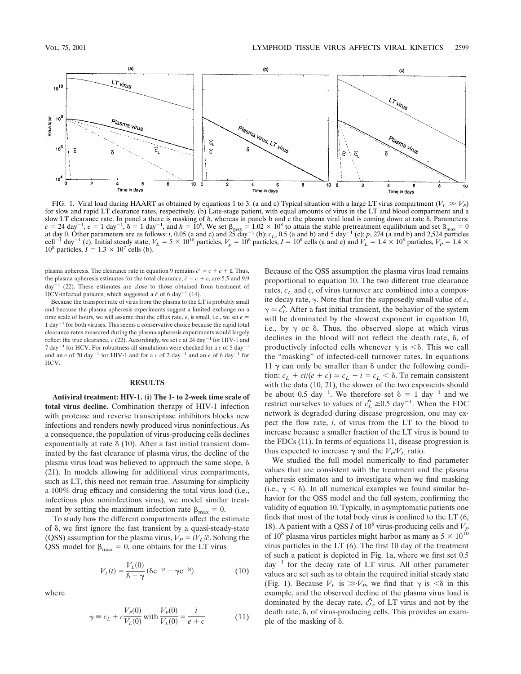

FIG. 1. Viral load during HAART as obtained by equations 1 to 3. (a and c) Typical situation with a large LT virus compartment  $(V_L \gg V_P)$ for slow and rapid LT clearance rates, respectively. (b) Late-stage patient, with equal amounts of virus in the LT and blood compartment and a slow LT clearance rate. In panel a there is masking of  $\delta$ , whereas in panels b and c the plasma viral load is coming down at rate  $\delta$ . Parameters:  $c = 24 \text{ day}^{-1}$ ,  $e = 1 \text{ day}^{-1}$ ,  $\delta = 1 \text{ day}^{-1}$ , and  $h = 10^9$ . We set  $\beta_{\text{max}} = 1.02 \times 10^8$  to attain the stable pretreatment equilibrium and set  $\beta_{\text{max}} = 0$ at day 0. Other parameters are as follows: *i*, 0.05 (a and c) and  $25 \text{ day}^{-1}$  (b);  $c_L$ , 0.5 (a and b) and 5 day<sup>-1</sup> (c); *p*, 274 (a and b) and 2,524 particles cell<sup>-1</sup> day<sup>-1</sup> (c). Initial steady state,  $V_L = 5 \times 10^{10}$  particles,  $V_p = 10^8$  particles,  $I = 10^8$  cells (a and c) and  $V_L = 1.4 \times 10^8$  particles,  $V_p = 1.4 \times 10^8$  $10^8$  particles,  $I = 1.3 \times 10^7$  cells (b).

plasma apheresis. The clearance rate in equation 9 remains  $c' = c + e + \varepsilon$ . Thus, the plasma apheresis estimates for the total clearance,  $\hat{c} = c + e$ , are 5.5 and 9.9  $day^{-1}$  (22). These estimates are close to those obtained from treatment of HCV-infected patients, which suggested a  $\hat{c}$  of 6 day<sup>-1</sup> (14).

Because the transport rate of virus from the plasma to the LT is probably small and because the plasma apheresis experiments suggest a limited exchange on a time scale of hours, we will assume that the efflux rate,  $e$ , is small, i.e., we set  $e =$  $1 \text{ day}^{-1}$  for both viruses. This seems a conservative choice because the rapid total clearance rates measured during the plasma apheresis experiments would largely reflect the true clearance,  $c$  (22). Accordingly, we set  $c$  at 24 day<sup>-1</sup> for HIV-1 and 7 day<sup> $-1$ </sup> for HCV. For robustness all simulations were checked for a *c* of 5 day<sup> $-1$ </sup> and an *e* of 20 day<sup>-1</sup> for HIV-1 and for a *c* of 2 day<sup>-1</sup> and an *e* of 6 day<sup>-1</sup> for HCV.

### **RESULTS**

**Antiviral treatment: HIV-1. (i) The 1- to 2-week time scale of total virus decline.** Combination therapy of HIV-1 infection with protease and reverse transcriptase inhibitors blocks new infections and renders newly produced virus noninfectious. As a consequence, the population of virus-producing cells declines exponentially at rate  $\delta$  (10). After a fast initial transient dominated by the fast clearance of plasma virus, the decline of the plasma virus load was believed to approach the same slope,  $\delta$ (21). In models allowing for additional virus compartments, such as LT, this need not remain true. Assuming for simplicity a 100% drug efficacy and considering the total virus load (i.e., infectious plus noninfectious virus), we model similar treatment by setting the maximum infection rate  $\beta_{\text{max}} = 0$ .

To study how the different compartments affect the estimate of  $\delta$ , we first ignore the fast transient by a quasi-steady-state (QSS) assumption for the plasma virus,  $V_P = iV_L/\hat{c}$ . Solving the QSS model for  $\beta_{\text{max}} = 0$ , one obtains for the LT virus

$$
V_L(t) = \frac{V_L(0)}{\delta - \gamma} (\delta e^{-\gamma t} - \gamma e^{-\delta t})
$$
 (10)

where

$$
\gamma \equiv c_L + c \frac{V_P(0)}{V_L(0)} \text{ with } \frac{V_P(0)}{V_L(0)} = \frac{i}{e + c} \tag{11}
$$

Because of the QSS assumption the plasma virus load remains proportional to equation 10. The two different true clearance rates,  $c<sub>L</sub>$  and *c*, of virus turnover are combined into a composite decay rate,  $\gamma$ . Note that for the supposedly small value of  $e$ ,  $\gamma \approx \hat{c}_L^2$ . After a fast initial transient, the behavior of the system will be dominated by the slowest exponent in equation 10, i.e., by  $\gamma$  or  $\delta$ . Thus, the observed slope at which virus declines in the blood will not reflect the death rate,  $\delta$ , of productively infected cells whenever  $\gamma$  is  $\leq \delta$ . This we call the "masking" of infected-cell turnover rates. In equations 11  $\gamma$  can only be smaller than  $\delta$  under the following condition:  $c_L + \frac{ci}{e + c} \Rightarrow c_L + i = c_L < \delta$ . To remain consistent with the data (10, 21), the slower of the two exponents should be about 0.5 day<sup>-1</sup>. We therefore set  $\delta = 1$  day<sup>-1</sup> and we restrict ourselves to values of  $\hat{c}_L \ge 0.5 \text{ day}^{-1}$ . When the FDC network is degraded during disease progression, one may expect the flow rate, *i*, of virus from the LT to the blood to increase because a smaller fraction of the LT virus is bound to the FDCs (11). In terms of equations 11, disease progression is thus expected to increase  $\gamma$  and the  $V_P/V_L$  ratio.

We studied the full model numerically to find parameter values that are consistent with the treatment and the plasma apheresis estimates and to investigate when we find masking (i.e.,  $\gamma < \delta$ ). In all numerical examples we found similar behavior for the QSS model and the full system, confirming the validity of equation 10. Typically, in asymptomatic patients one finds that most of the total body virus is confined to the LT (6, 18). A patient with a QSS *I* of 10<sup>8</sup> virus-producing cells and  $V<sub>P</sub>$ of  $10^8$  plasma virus particles might harbor as many as  $5 \times 10^{10}$ virus particles in the LT (6). The first 10 day of the treatment of such a patient is depicted in Fig. 1a, where we first set 0.5  $day^{-1}$  for the decay rate of LT virus. All other parameter values are set such as to obtain the required initial steady state (Fig. 1). Because  $V_L$  is  $\gg V_P$ , we find that  $\gamma$  is  $\lt \delta$  in this example, and the observed decline of the plasma virus load is dominated by the decay rate,  $\hat{c}_L$ , of LT virus and not by the death rate,  $\delta$ , of virus-producing cells. This provides an example of the masking of  $\delta$ .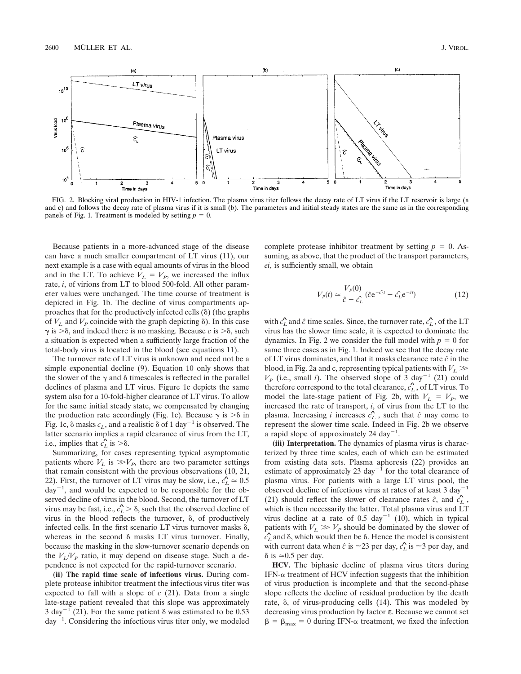

FIG. 2. Blocking viral production in HIV-1 infection. The plasma virus titer follows the decay rate of LT virus if the LT reservoir is large (a and c) and follows the decay rate of plasma virus if it is small (b). The parameters and initial steady states are the same as in the corresponding panels of Fig. 1. Treatment is modeled by setting  $p = 0$ .

Because patients in a more-advanced stage of the disease can have a much smaller compartment of LT virus (11), our next example is a case with equal amounts of virus in the blood and in the LT. To achieve  $V_L = V_P$ , we increased the influx rate, *i*, of virions from LT to blood 500-fold. All other parameter values were unchanged. The time course of treatment is depicted in Fig. 1b. The decline of virus compartments approaches that for the productively infected cells  $(\delta)$  (the graphs of  $V_L$  and  $V_P$  coincide with the graph depicting  $\delta$ ). In this case  $\gamma$  is  $\geq \delta$ , and indeed there is no masking. Because *c* is  $\geq \delta$ , such a situation is expected when a sufficiently large fraction of the total-body virus is located in the blood (see equations 11).

The turnover rate of LT virus is unknown and need not be a simple exponential decline (9). Equation 10 only shows that the slower of the  $\gamma$  and  $\delta$  timescales is reflected in the parallel declines of plasma and LT virus. Figure 1c depicts the same system also for a 10-fold-higher clearance of LT virus. To allow for the same initial steady state, we compensated by changing the production rate accordingly (Fig. 1c). Because  $\gamma$  is  $\geq \delta$  in Fig. 1c,  $\delta$  masks  $c_L$ , and a realistic  $\delta$  of 1 day<sup>-1</sup> is observed. The latter scenario implies a rapid clearance of virus from the LT,<br>i.e. implies that  $\hat{\mathcal{L}}$  is  $\geq$ i.e., implies that  $\hat{c}_L$  is  $> \delta$ .

Summarizing, for cases representing typical asymptomatic patients where  $V_L$  is  $\gg V_P$ , there are two parameter settings that remain consistent with the previous observations (10, 21, 22). First, the turnover of LT virus may be slow, i.e.,  $\hat{c}_L \approx 0.5$  $day^{-1}$ , and would be expected to be responsible for the observed decline of virus in the blood. Second, the turnover of LT virus may be fast, i.e.,  $\hat{c}_L > \delta$ , such that the observed decline of virus in the blood reflects the turnover,  $\delta$ , of productively infected cells. In the first scenario LT virus turnover masks  $\delta$ , whereas in the second  $\delta$  masks LT virus turnover. Finally, because the masking in the slow-turnover scenario depends on the  $V_I/V_P$  ratio, it may depend on disease stage. Such a dependence is not expected for the rapid-turnover scenario.

**(ii) The rapid time scale of infectious virus.** During complete protease inhibitor treatment the infectious virus titer was expected to fall with a slope of *c* (21). Data from a single late-stage patient revealed that this slope was approximately 3 day<sup>-1</sup> (21). For the same patient  $\delta$  was estimated to be 0.53  $day^{-1}$ . Considering the infectious virus titer only, we modeled complete protease inhibitor treatment by setting  $p = 0$ . Assuming, as above, that the product of the transport parameters, *ei*, is sufficiently small, we obtain

$$
V_P(t) \simeq \frac{V_P(0)}{\hat{c} - \hat{c_L}} (\hat{c} e^{-\hat{c}t} - \hat{c_L} e^{-\hat{c}t})
$$
(12)

with  $\hat{c}_L$  and  $\hat{c}$  time scales. Since, the turnover rate,  $\hat{c}_L$ , of the LT virus has the slower time scale, it is expected to dominate the dynamics. In Fig. 2 we consider the full model with  $p = 0$  for same three cases as in Fig. 1. Indeed we see that the decay rate of LT virus dominates, and that it masks clearance rate *ˆc* in the blood, in Fig. 2a and c, representing typical patients with  $V_L \gg$  $V_P$  (i.e., small *i*). The observed slope of 3 day<sup>-1</sup> (21) could therefore correspond to the total clearance,  $\hat{c}_L$ , of LT virus. To model the late-stage patient of Fig. 2b, with  $V_L = V_P$ , we increased the rate of transport, *i*, of virus from the LT to the plasma. Increasing *i* increases  $\hat{c}_L^c$ , such that  $\hat{c}$  may come to represent the slower time scale. Indeed in Fig. 2b we observe a rapid slope of approximately 24 day<sup>-1</sup>.

**(iii) Interpretation.** The dynamics of plasma virus is characterized by three time scales, each of which can be estimated from existing data sets. Plasma apheresis (22) provides an estimate of approximately 23 day<sup>-1</sup> for the total clearance of plasma virus. For patients with a large LT virus pool, the observed decline of infectious virus at rates of at least  $3 \text{ day}^{-1}$ (21) should reflect the slower of clearance rates  $\hat{c}$ , and  $\hat{c}_L$ , which is then necessarily the latter. Total plasma virus and LT virus decline at a rate of 0.5 day<sup>-1</sup> (10), which in typical patients with  $V_L \gg V_P$  should be dominated by the slower of patients with  $r_L \gg r_p$  should be dominated by the slower of  $\hat{c}_L$  and  $\delta$ , which would then be  $\delta$ . Hence the model is consistent with current data when  $\hat{c}$  is  $\approx$ 23 per day,  $\hat{c}_L$  is  $\approx$ 3 per day, and  $\delta$  is  $\simeq 0.5$  per day.

**HCV.** The biphasic decline of plasma virus titers during IFN- $\alpha$  treatment of HCV infection suggests that the inhibition of virus production is incomplete and that the second-phase slope reflects the decline of residual production by the death rate, δ, of virus-producing cells (14). This was modeled by decreasing virus production by factor ε. Because we cannot set  $\beta = \beta_{\text{max}} = 0$  during IFN- $\alpha$  treatment, we fixed the infection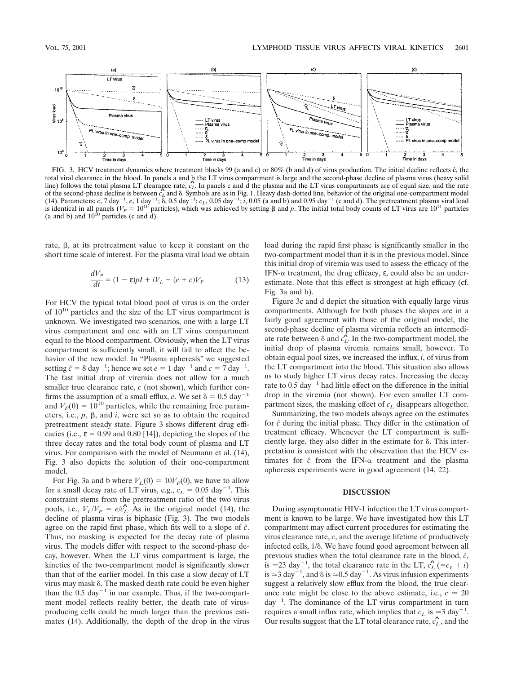

FIG. 3. HCV treatment dynamics where treatment blocks 99 (a and c) or 80% (b and d) of virus production. The initial decline reflects  $\hat{c}$ , the total viral clearance in the blood. In panels a and b the LT virus compartment is large and the second-phase decline of plasma virus (heavy solid<br>Una) follows the total plasma LT clearance rate as In panels a and d the pl line) follows the total plasma LT clearance rate,  $\hat{c}_L$ . In panels c and d the plasma and the LT virus compartments are of equal size, and the rate line) follows the total plasma L1 clearance rate,  $c_L$  in panels c and d the plasma and the L1 virus compartments are of equal size, and the rate<br>of the second-phase decline is between  $\hat{c}_L$  and  $\delta$ . Symbols are as in is identical in all panels ( $V_P = 10^{10}$  particles), which was achieved by setting  $\beta$  and p. The initial total body counts of LT virus are 10<sup>11</sup> particles (a and b) and  $10^{10}$  particles (c and d).

rate,  $\beta$ , at its pretreatment value to keep it constant on the short time scale of interest. For the plasma viral load we obtain

$$
\frac{dV_P}{dt} = (1 - \varepsilon)pI + iV_L - (e + c)V_P \tag{13}
$$

For HCV the typical total blood pool of virus is on the order of  $10^{10}$  particles and the size of the LT virus compartment is unknown. We investigated two scenarios, one with a large LT virus compartment and one with an LT virus compartment equal to the blood compartment. Obviously, when the LT virus compartment is sufficiently small, it will fail to affect the behavior of the new model. In "Plasma apheresis" we suggested setting  $\hat{c} = 8 \text{ day}^{-1}$ ; hence we set  $e = 1 \text{ day}^{-1}$  and  $c = 7 \text{ day}^{-1}$ . The fast initial drop of viremia does not allow for a much smaller true clearance rate, *c* (not shown), which further confirms the assumption of a small efflux, *e*. We set  $\delta = 0.5 \text{ day}^{-1}$ and  $V_p(0) = 10^{10}$  particles, while the remaining free parameters, i.e.,  $p$ ,  $\beta$ , and  $i$ , were set so as to obtain the required pretreatment steady state. Figure 3 shows different drug efficacies (i.e.,  $\varepsilon = 0.99$  and 0.80 [14]), depicting the slopes of the three decay rates and the total body count of plasma and LT virus. For comparison with the model of Neumann et al. (14), Fig. 3 also depicts the solution of their one-compartment model.

For Fig. 3a and b where  $V_L(0) = 10V_P(0)$ , we have to allow for a small decay rate of LT virus, e.g.,  $c_L = 0.05 \text{ day}^{-1}$ . This constraint stems from the pretreatment ratio of the two virus pools, i.e.,  $V_L/V_P = e/\hat{c}_L$ . As in the original model (14), the decline of plasma virus is biphasic (Fig. 3). The two models agree on the rapid first phase, which fits well to a slope of *ˆc*. Thus, no masking is expected for the decay rate of plasma virus. The models differ with respect to the second-phase decay, however. When the LT virus compartment is large, the kinetics of the two-compartment model is significantly slower than that of the earlier model. In this case a slow decay of LT virus may mask  $\delta$ . The masked death rate could be even higher than the  $0.5 \text{ day}^{-1}$  in our example. Thus, if the two-compartment model reflects reality better, the death rate of virusproducing cells could be much larger than the previous estimates (14). Additionally, the depth of the drop in the virus load during the rapid first phase is significantly smaller in the two-compartment model than it is in the previous model. Since this initial drop of viremia was used to assess the efficacy of the IFN- $\alpha$  treatment, the drug efficacy,  $\varepsilon$ , could also be an underestimate. Note that this effect is strongest at high efficacy (cf. Fig. 3a and b).

Figure 3c and d depict the situation with equally large virus compartments. Although for both phases the slopes are in a fairly good agreement with those of the original model, the second-phase decline of plasma viremia reflects an intermediate rate between  $\delta$  and  $\hat{c}_L$ . In the two-compartment model, the initial drop of plasma viremia remains small, however. To obtain equal pool sizes, we increased the influx, *i*, of virus from the LT compartment into the blood. This situation also allows us to study higher LT virus decay rates. Increasing the decay rate to  $0.5 \text{ day}^{-1}$  had little effect on the difference in the initial drop in the viremia (not shown). For even smaller LT compartment sizes, the masking effect of  $c<sub>L</sub>$  disappears altogether.

Summarizing, the two models always agree on the estimates for *ˆc* during the initial phase. They differ in the estimation of treatment efficacy. Whenever the LT compartment is sufficiently large, they also differ in the estimate for  $\delta$ . This interpretation is consistent with the observation that the HCV estimates for  $\hat{c}$  from the IFN- $\alpha$  treatment and the plasma apheresis experiments were in good agreement (14, 22).

#### **DISCUSSION**

During asymptomatic HIV-1 infection the LT virus compartment is known to be large. We have investigated how this LT compartment may affect current procedures for estimating the virus clearance rate, *c*, and the average lifetime of productively infected cells,  $1/\delta$ . We have found good agreement between all previous studies when the total clearance rate in the blood, *ˆc*, is  $\approx$ 23 day<sup>-1</sup>, the total clearance rate in the LT,  $\hat{c}_L$  (= $c_L$  + *i*) is  $\approx$  3 day<sup>-1</sup>, and  $\delta$  is  $\approx$  0.5 day<sup>-1</sup>. As virus infusion experiments suggest a relatively slow efflux from the blood, the true clearance rate might be close to the above estimate, i.e.,  $c \approx 20$  $day^{-1}$ . The dominance of the LT virus compartment in turn requires a small influx rate, which implies that  $c_L$  is  $\approx 3 \text{ day}^{-1}$ . Our results suggest that the LT total clearance rate,  $\hat{c}_L$ , and the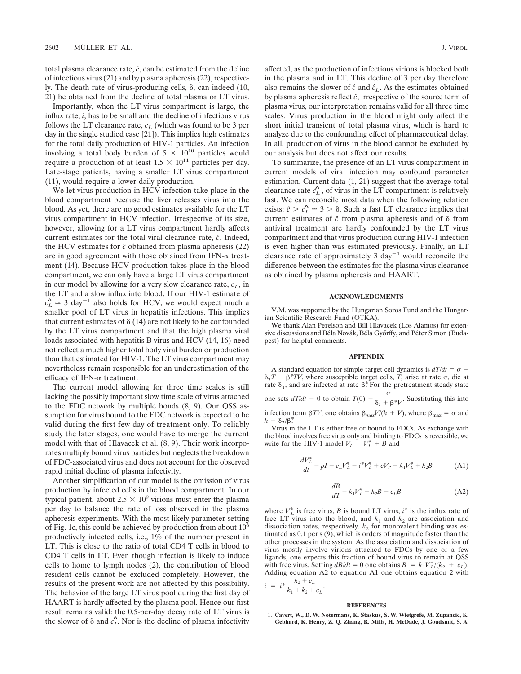total plasma clearance rate,  $\hat{c}$ , can be estimated from the deline of infectious virus (21) and by plasma apheresis (22), respectively. The death rate of virus-producing cells,  $\delta$ , can indeed (10, 21) be obtained from the decline of total plasma or LT virus.

Importantly, when the LT virus compartment is large, the influx rate, *i*, has to be small and the decline of infectious virus follows the LT clearance rate,  $c_L$  (which was found to be 3 per day in the single studied case [21]). This implies high estimates for the total daily production of HIV-1 particles. An infection involving a total body burden of  $5 \times 10^{10}$  particles would require a production of at least  $1.5 \times 10^{11}$  particles per day. Late-stage patients, having a smaller LT virus compartment (11), would require a lower daily production.

We let virus production in HCV infection take place in the blood compartment because the liver releases virus into the blood. As yet, there are no good estimates available for the LT virus compartment in HCV infection. Irrespective of its size, however, allowing for a LT virus compartment hardly affects current estimates for the total viral clearance rate, *ˆc*. Indeed, the HCV estimates for *ˆc* obtained from plasma apheresis (22) are in good agreement with those obtained from IFN- $\alpha$  treatment (14). Because HCV production takes place in the blood compartment, we can only have a large LT virus compartment in our model by allowing for a very slow clearance rate,  $c_L$ , in the LT and a slow influx into blood. If our HIV-1 estimate of  $c_L^2 \approx 3 \text{ day}^{-1}$  also holds for HCV, we would expect much a smaller pool of LT virus in hepatitis infections. This implies that current estimates of  $\delta$  (14) are not likely to be confounded by the LT virus compartment and that the high plasma viral loads associated with hepatitis B virus and HCV (14, 16) need not reflect a much higher total body viral burden or production than that estimated for HIV-1. The LT virus compartment may nevertheless remain responsible for an underestimation of the efficacy of IFN- $\alpha$  treatment.

The current model allowing for three time scales is still lacking the possibly important slow time scale of virus attached to the FDC network by multiple bonds (8, 9). Our QSS assumption for virus bound to the FDC network is expected to be valid during the first few day of treatment only. To reliably study the later stages, one would have to merge the current model with that of Hlavacek et al. (8, 9). Their work incorporates multiply bound virus particles but neglects the breakdown of FDC-associated virus and does not account for the observed rapid initial decline of plasma infectivity.

Another simplification of our model is the omission of virus production by infected cells in the blood compartment. In our typical patient, about  $2.5 \times 10^9$  virions must enter the plasma per day to balance the rate of loss observed in the plasma apheresis experiments. With the most likely parameter setting of Fig. 1c, this could be achieved by production from about  $10<sup>6</sup>$ productively infected cells, i.e., 1% of the number present in LT. This is close to the ratio of total CD4 T cells in blood to CD4 T cells in LT. Even though infection is likely to induce cells to home to lymph nodes (2), the contribution of blood resident cells cannot be excluded completely. However, the results of the present work are not affected by this possibility. The behavior of the large LT virus pool during the first day of HAART is hardly affected by the plasma pool. Hence our first result remains valid: the 0.5-per-day decay rate of LT virus is the slower of  $\delta$  and  $\hat{c}_L$ . Nor is the decline of plasma infectivity affected, as the production of infectious virions is blocked both in the plasma and in LT. This decline of 3 per day therefore also remains the slower of  $\hat{c}$  and  $\hat{c}_L$ . As the estimates obtained by plasma apheresis reflect *ˆc*, irrespective of the source term of plasma virus, our interpretation remains valid for all three time scales. Virus production in the blood might only affect the short initial transient of total plasma virus, which is hard to analyze due to the confounding effect of pharmaceutical delay. In all, production of virus in the blood cannot be excluded by our analysis but does not affect our results.

To summarize, the presence of an LT virus compartment in current models of viral infection may confound parameter estimation. Current data (1, 21) suggest that the average total clearance rate  $\hat{c}_L$ , of virus in the LT compartment is relatively fast. We can reconcile most data when the following relation exists:  $\hat{c} > \hat{c}_L \approx 3 > \delta$ . Such a fast LT clearance implies that current estimates of  $\hat{c}$  from plasma apheresis and of  $\delta$  from antiviral treatment are hardly confounded by the LT virus compartment and that virus production during HIV-1 infection is even higher than was estimated previously. Finally, an LT clearance rate of approximately 3 day<sup> $-1$ </sup> would reconcile the difference between the estimates for the plasma virus clearance as obtained by plasma apheresis and HAART.

#### **ACKNOWLEDGMENTS**

V.M. was supported by the Hungarian Soros Fund and the Hungarian Scientific Research Fund (OTKA).

We thank Alan Perelson and Bill Hlavacek (Los Alamos) for extensive discussions and Béla Novák, Béla Győrffy, and Péter Simon (Budapest) for helpful comments.

### **APPENDIX**

A standard equation for simple target cell dynamics is  $dT/dt = \sigma$  –  $\delta_T T - \beta^* TV$ , where susceptible target cells, *T*, arise at rate  $\sigma$ , die at rate  $\delta_T$ , and are infected at rate  $\beta^*$ . For the pretreatment steady state one sets  $dT/dt = 0$  to obtain  $T(0) = \frac{\sigma}{\delta_T + \beta^* V}$ . Substituting this into infection term  $\beta TV$ , one obtains  $\beta_{max}V/(h + V)$ , where  $\beta_{max} = \sigma$  and  $h = \delta_T/\beta$ .

Virus in the LT is either free or bound to FDCs. As exchange with the blood involves free virus only and binding to FDCs is reversible, we write for the HIV-1 model  $V_L = V_L^* + B$  and

$$
\frac{dV_L^*}{dt} = pI - c_L V_L^* - i^* V_L^* + eV_P - k_1 V_L^* + k_2 B \tag{A1}
$$

$$
\frac{dB}{dT} = k_1 V_L^* - k_2 B - c_L B \tag{A2}
$$

where  $V_L^*$  is free virus, *B* is bound LT virus,  $i^*$  is the influx rate of free LT virus into the blood, and  $k_1$  and  $k_2$  are association and dissociation rates, respectively.  $k_2$  for monovalent binding was estimated as 0.1 per s (9), which is orders of magnitude faster than the other processes in the system. As the association and dissociation of virus mostly involve virions attached to FDCs by one or a few ligands, one expects this fraction of bound virus to remain at QSS with free virus. Setting  $dB/dt = 0$  one obtains  $B = k_1 V_L^*/(k_2 + c_L)$ . Adding equation A2 to equation A1 one obtains equation 2 with  $i = i^* \frac{k_2 + c_L}{k_1 + k_2 + c_L}$ .

## **REFERENCES**

1. **Cavert, W., D. W. Notermans, K. Staskus, S. W. Wietgrefe, M. Zupancic, K. Gebhard, K. Henry, Z. Q. Zhang, R. Mills, H. McDade, J. Goudsmit, S. A.**